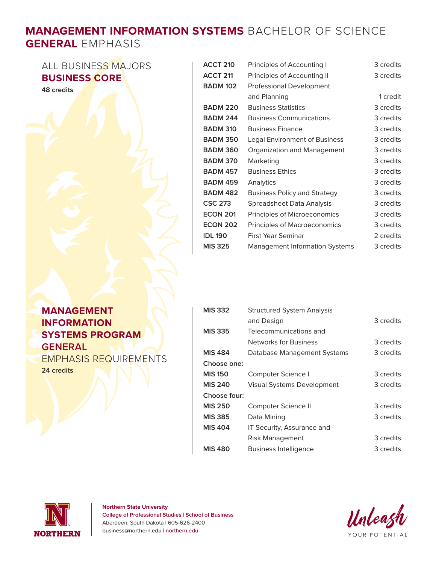## **MANAGEMENT INFORMATION SYSTEMS** BACHELOR OF SCIENCE **GENERAL** EMPHASIS

ALL BUSINESS MAJORS **BUSINESS CORE** 

**48 credits**

| <b>ACCT 210</b> | Principles of Accounting I            | 3 credits |
|-----------------|---------------------------------------|-----------|
| <b>ACCT 211</b> | Principles of Accounting II           | 3 credits |
| <b>BADM 102</b> | <b>Professional Development</b>       |           |
|                 | and Planning                          | 1 credit  |
| <b>BADM 220</b> | <b>Business Statistics</b>            | 3 credits |
| <b>BADM 244</b> | <b>Business Communications</b>        | 3 credits |
| <b>BADM 310</b> | <b>Business Finance</b>               | 3 credits |
| <b>BADM 350</b> | <b>Legal Environment of Business</b>  | 3 credits |
| <b>BADM 360</b> | Organization and Management           | 3 credits |
| <b>BADM 370</b> | Marketing                             | 3 credits |
| <b>BADM 457</b> | <b>Business Ethics</b>                | 3 credits |
| <b>BADM 459</b> | Analytics                             | 3 credits |
| <b>BADM 482</b> | <b>Business Policy and Strategy</b>   | 3 credits |
| <b>CSC 273</b>  | Spreadsheet Data Analysis             | 3 credits |
| <b>ECON 201</b> | Principles of Microeconomics          | 3 credits |
| <b>ECON 202</b> | Principles of Macroeconomics          | 3 credits |
| <b>IDL 190</b>  | First Year Seminar                    | 2 credits |
| <b>MIS 325</b>  | <b>Management Information Systems</b> | 3 credits |

## **MANAGEMENT INFORMATION SYSTEMS PROGRAM GENERAL**

EMPHASIS REQUIREMENTS **24 credits**

| <b>MIS 332</b> | <b>Structured System Analysis</b> |           |
|----------------|-----------------------------------|-----------|
|                | and Design                        | 3 credits |
| <b>MIS 335</b> | Telecommunications and            |           |
|                | Networks for Business             | 3 credits |
| <b>MIS 484</b> | Database Management Systems       | 3 credits |
| Choose one:    |                                   |           |
| <b>MIS 150</b> | Computer Science I                | 3 credits |
| <b>MIS 240</b> | <b>Visual Systems Development</b> | 3 credits |
| Choose four:   |                                   |           |
| <b>MIS 250</b> | Computer Science II               | 3 credits |
| <b>MIS 385</b> | Data Mining                       | 3 credits |
| <b>MIS 404</b> | IT Security, Assurance and        |           |
|                | Risk Management                   | 3 credits |
| <b>MIS 480</b> | <b>Business Intelligence</b>      | 3 credits |



**Northern State University College of Professional Studies | School of Business** Aberdeen, South Dakota | 605-626-2400 business@northern.edu | northern.edu